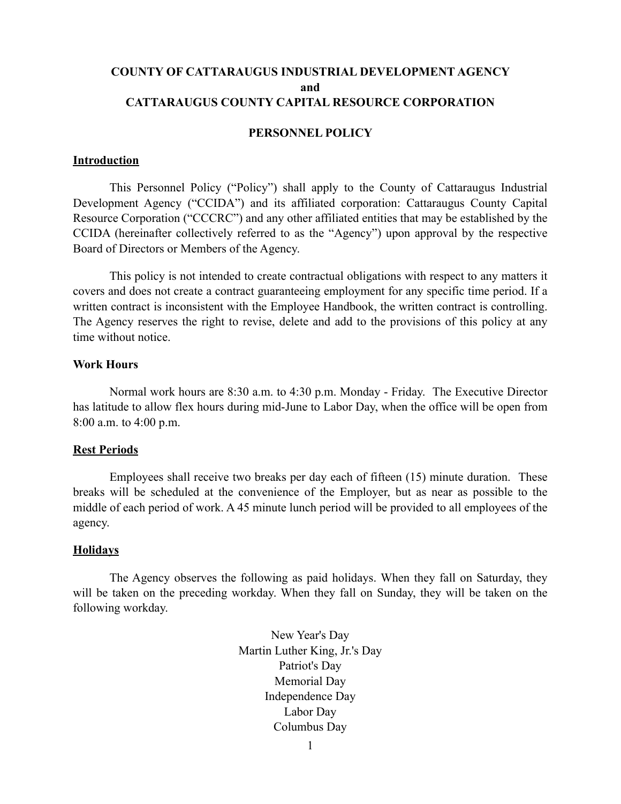# **COUNTY OF CATTARAUGUS INDUSTRIAL DEVELOPMENT AGENCY and CATTARAUGUS COUNTY CAPITAL RESOURCE CORPORATION**

### **PERSONNEL POLICY**

#### **Introduction**

This Personnel Policy ("Policy") shall apply to the County of Cattaraugus Industrial Development Agency ("CCIDA") and its affiliated corporation: Cattaraugus County Capital Resource Corporation ("CCCRC") and any other affiliated entities that may be established by the CCIDA (hereinafter collectively referred to as the "Agency") upon approval by the respective Board of Directors or Members of the Agency.

This policy is not intended to create contractual obligations with respect to any matters it covers and does not create a contract guaranteeing employment for any specific time period. If a written contract is inconsistent with the Employee Handbook, the written contract is controlling. The Agency reserves the right to revise, delete and add to the provisions of this policy at any time without notice.

# **Work Hours**

Normal work hours are 8:30 a.m. to 4:30 p.m. Monday - Friday. The Executive Director has latitude to allow flex hours during mid-June to Labor Day, when the office will be open from 8:00 a.m. to 4:00 p.m.

#### **Rest Periods**

Employees shall receive two breaks per day each of fifteen (15) minute duration. These breaks will be scheduled at the convenience of the Employer, but as near as possible to the middle of each period of work. A 45 minute lunch period will be provided to all employees of the agency.

#### **Holidays**

The Agency observes the following as paid holidays. When they fall on Saturday, they will be taken on the preceding workday. When they fall on Sunday, they will be taken on the following workday.

> New Year's Day Martin Luther King, Jr.'s Day Patriot's Day Memorial Day Independence Day Labor Day Columbus Day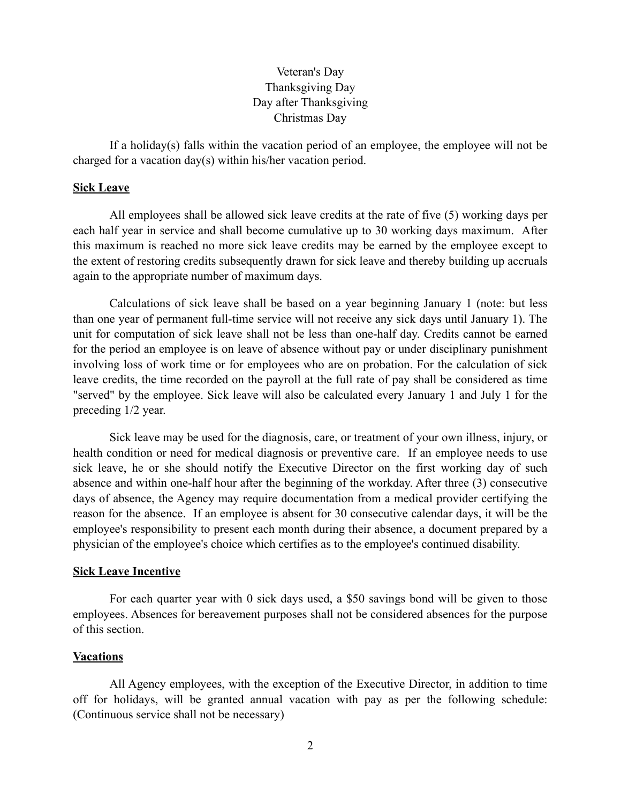# Veteran's Day Thanksgiving Day Day after Thanksgiving Christmas Day

If a holiday(s) falls within the vacation period of an employee, the employee will not be charged for a vacation day(s) within his/her vacation period.

# **Sick Leave**

All employees shall be allowed sick leave credits at the rate of five (5) working days per each half year in service and shall become cumulative up to 30 working days maximum. After this maximum is reached no more sick leave credits may be earned by the employee except to the extent of restoring credits subsequently drawn for sick leave and thereby building up accruals again to the appropriate number of maximum days.

Calculations of sick leave shall be based on a year beginning January 1 (note: but less than one year of permanent full-time service will not receive any sick days until January 1). The unit for computation of sick leave shall not be less than one-half day. Credits cannot be earned for the period an employee is on leave of absence without pay or under disciplinary punishment involving loss of work time or for employees who are on probation. For the calculation of sick leave credits, the time recorded on the payroll at the full rate of pay shall be considered as time "served" by the employee. Sick leave will also be calculated every January 1 and July 1 for the preceding 1/2 year.

Sick leave may be used for the diagnosis, care, or treatment of your own illness, injury, or health condition or need for medical diagnosis or preventive care. If an employee needs to use sick leave, he or she should notify the Executive Director on the first working day of such absence and within one-half hour after the beginning of the workday. After three (3) consecutive days of absence, the Agency may require documentation from a medical provider certifying the reason for the absence. If an employee is absent for 30 consecutive calendar days, it will be the employee's responsibility to present each month during their absence, a document prepared by a physician of the employee's choice which certifies as to the employee's continued disability.

# **Sick Leave Incentive**

For each quarter year with 0 sick days used, a \$50 savings bond will be given to those employees. Absences for bereavement purposes shall not be considered absences for the purpose of this section.

# **Vacations**

All Agency employees, with the exception of the Executive Director, in addition to time off for holidays, will be granted annual vacation with pay as per the following schedule: (Continuous service shall not be necessary)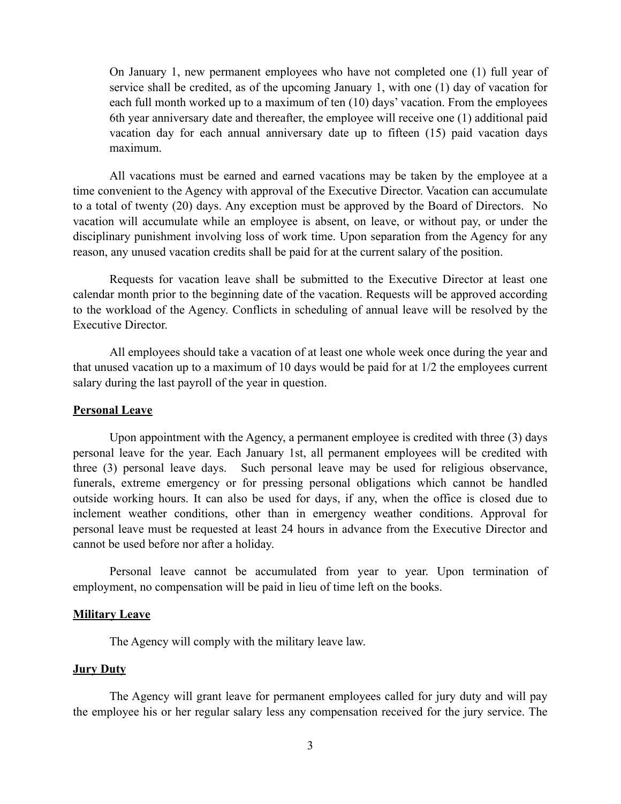On January 1, new permanent employees who have not completed one (1) full year of service shall be credited, as of the upcoming January 1, with one (1) day of vacation for each full month worked up to a maximum of ten (10) days' vacation. From the employees 6th year anniversary date and thereafter, the employee will receive one (1) additional paid vacation day for each annual anniversary date up to fifteen (15) paid vacation days maximum.

All vacations must be earned and earned vacations may be taken by the employee at a time convenient to the Agency with approval of the Executive Director. Vacation can accumulate to a total of twenty (20) days. Any exception must be approved by the Board of Directors. No vacation will accumulate while an employee is absent, on leave, or without pay, or under the disciplinary punishment involving loss of work time. Upon separation from the Agency for any reason, any unused vacation credits shall be paid for at the current salary of the position.

Requests for vacation leave shall be submitted to the Executive Director at least one calendar month prior to the beginning date of the vacation. Requests will be approved according to the workload of the Agency. Conflicts in scheduling of annual leave will be resolved by the Executive Director.

All employees should take a vacation of at least one whole week once during the year and that unused vacation up to a maximum of 10 days would be paid for at 1/2 the employees current salary during the last payroll of the year in question.

# **Personal Leave**

Upon appointment with the Agency, a permanent employee is credited with three (3) days personal leave for the year. Each January 1st, all permanent employees will be credited with three (3) personal leave days. Such personal leave may be used for religious observance, funerals, extreme emergency or for pressing personal obligations which cannot be handled outside working hours. It can also be used for days, if any, when the office is closed due to inclement weather conditions, other than in emergency weather conditions. Approval for personal leave must be requested at least 24 hours in advance from the Executive Director and cannot be used before nor after a holiday.

Personal leave cannot be accumulated from year to year. Upon termination of employment, no compensation will be paid in lieu of time left on the books.

#### **Military Leave**

The Agency will comply with the military leave law.

## **Jury Duty**

The Agency will grant leave for permanent employees called for jury duty and will pay the employee his or her regular salary less any compensation received for the jury service. The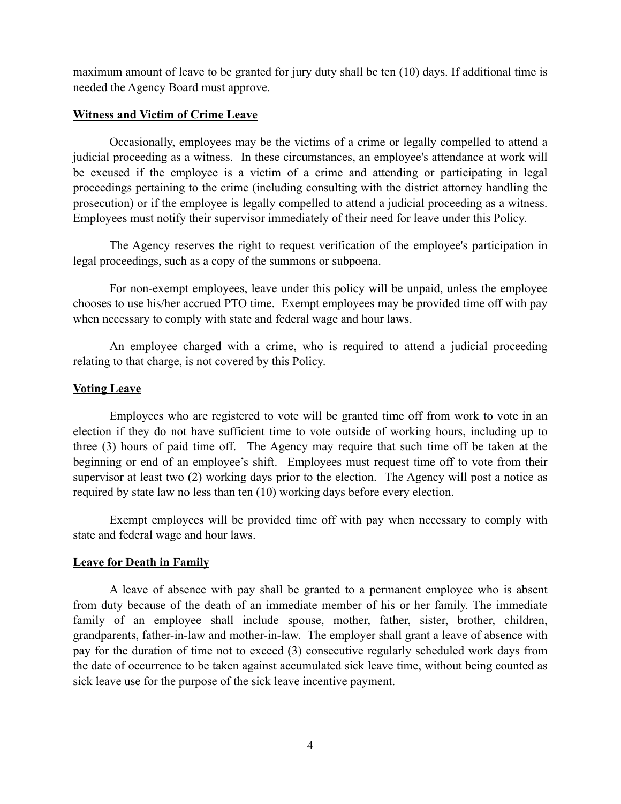maximum amount of leave to be granted for jury duty shall be ten (10) days. If additional time is needed the Agency Board must approve.

# **Witness and Victim of Crime Leave**

Occasionally, employees may be the victims of a crime or legally compelled to attend a judicial proceeding as a witness. In these circumstances, an employee's attendance at work will be excused if the employee is a victim of a crime and attending or participating in legal proceedings pertaining to the crime (including consulting with the district attorney handling the prosecution) or if the employee is legally compelled to attend a judicial proceeding as a witness. Employees must notify their supervisor immediately of their need for leave under this Policy.

The Agency reserves the right to request verification of the employee's participation in legal proceedings, such as a copy of the summons or subpoena.

For non-exempt employees, leave under this policy will be unpaid, unless the employee chooses to use his/her accrued PTO time. Exempt employees may be provided time off with pay when necessary to comply with state and federal wage and hour laws.

An employee charged with a crime, who is required to attend a judicial proceeding relating to that charge, is not covered by this Policy.

# **Voting Leave**

Employees who are registered to vote will be granted time off from work to vote in an election if they do not have sufficient time to vote outside of working hours, including up to three (3) hours of paid time off. The Agency may require that such time off be taken at the beginning or end of an employee's shift. Employees must request time off to vote from their supervisor at least two (2) working days prior to the election. The Agency will post a notice as required by state law no less than ten (10) working days before every election.

Exempt employees will be provided time off with pay when necessary to comply with state and federal wage and hour laws.

# **Leave for Death in Family**

A leave of absence with pay shall be granted to a permanent employee who is absent from duty because of the death of an immediate member of his or her family. The immediate family of an employee shall include spouse, mother, father, sister, brother, children, grandparents, father-in-law and mother-in-law. The employer shall grant a leave of absence with pay for the duration of time not to exceed (3) consecutive regularly scheduled work days from the date of occurrence to be taken against accumulated sick leave time, without being counted as sick leave use for the purpose of the sick leave incentive payment.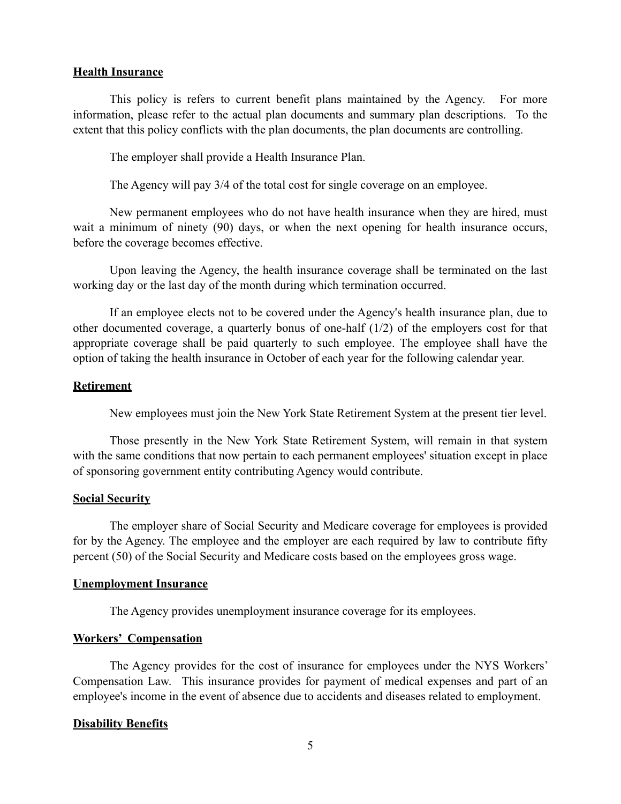### **Health Insurance**

This policy is refers to current benefit plans maintained by the Agency. For more information, please refer to the actual plan documents and summary plan descriptions. To the extent that this policy conflicts with the plan documents, the plan documents are controlling.

The employer shall provide a Health Insurance Plan.

The Agency will pay 3/4 of the total cost for single coverage on an employee.

New permanent employees who do not have health insurance when they are hired, must wait a minimum of ninety (90) days, or when the next opening for health insurance occurs, before the coverage becomes effective.

Upon leaving the Agency, the health insurance coverage shall be terminated on the last working day or the last day of the month during which termination occurred.

If an employee elects not to be covered under the Agency's health insurance plan, due to other documented coverage, a quarterly bonus of one-half (1/2) of the employers cost for that appropriate coverage shall be paid quarterly to such employee. The employee shall have the option of taking the health insurance in October of each year for the following calendar year.

#### **Retirement**

New employees must join the New York State Retirement System at the present tier level.

Those presently in the New York State Retirement System, will remain in that system with the same conditions that now pertain to each permanent employees' situation except in place of sponsoring government entity contributing Agency would contribute.

### **Social Security**

The employer share of Social Security and Medicare coverage for employees is provided for by the Agency. The employee and the employer are each required by law to contribute fifty percent (50) of the Social Security and Medicare costs based on the employees gross wage.

# **Unemployment Insurance**

The Agency provides unemployment insurance coverage for its employees.

# **Workers' Compensation**

The Agency provides for the cost of insurance for employees under the NYS Workers' Compensation Law. This insurance provides for payment of medical expenses and part of an employee's income in the event of absence due to accidents and diseases related to employment.

#### **Disability Benefits**